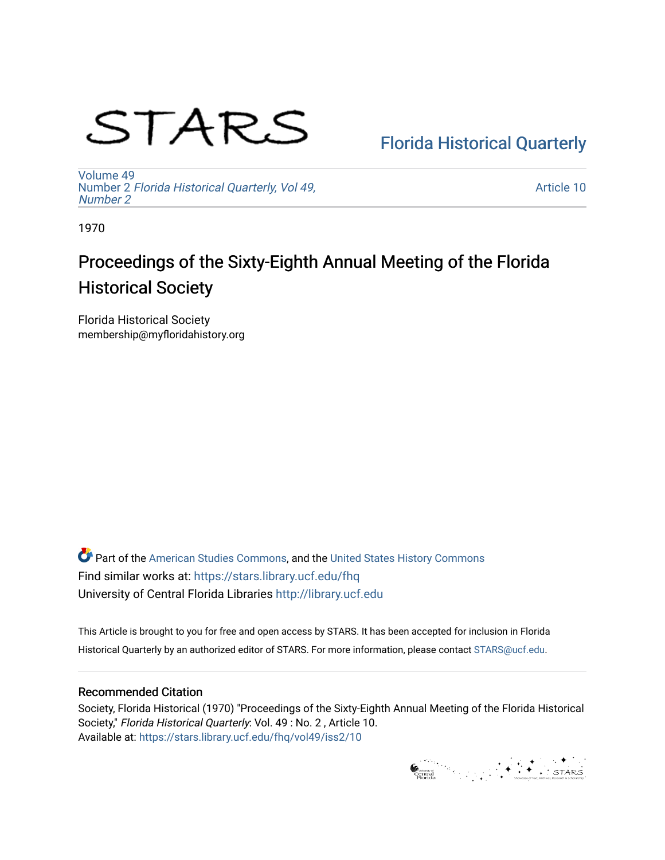# STARS

## [Florida Historical Quarterly](https://stars.library.ucf.edu/fhq)

[Volume 49](https://stars.library.ucf.edu/fhq/vol49) Number 2 [Florida Historical Quarterly, Vol 49,](https://stars.library.ucf.edu/fhq/vol49/iss2)  [Number 2](https://stars.library.ucf.edu/fhq/vol49/iss2)

[Article 10](https://stars.library.ucf.edu/fhq/vol49/iss2/10) 

1970

# Proceedings of the Sixty-Eighth Annual Meeting of the Florida Historical Society

Florida Historical Society membership@myfloridahistory.org

**C** Part of the [American Studies Commons](http://network.bepress.com/hgg/discipline/439?utm_source=stars.library.ucf.edu%2Ffhq%2Fvol49%2Fiss2%2F10&utm_medium=PDF&utm_campaign=PDFCoverPages), and the United States History Commons Find similar works at: <https://stars.library.ucf.edu/fhq> University of Central Florida Libraries [http://library.ucf.edu](http://library.ucf.edu/) 

This Article is brought to you for free and open access by STARS. It has been accepted for inclusion in Florida Historical Quarterly by an authorized editor of STARS. For more information, please contact [STARS@ucf.edu.](mailto:STARS@ucf.edu)

## Recommended Citation

Society, Florida Historical (1970) "Proceedings of the Sixty-Eighth Annual Meeting of the Florida Historical Society," Florida Historical Quarterly: Vol. 49 : No. 2 , Article 10. Available at: [https://stars.library.ucf.edu/fhq/vol49/iss2/10](https://stars.library.ucf.edu/fhq/vol49/iss2/10?utm_source=stars.library.ucf.edu%2Ffhq%2Fvol49%2Fiss2%2F10&utm_medium=PDF&utm_campaign=PDFCoverPages)

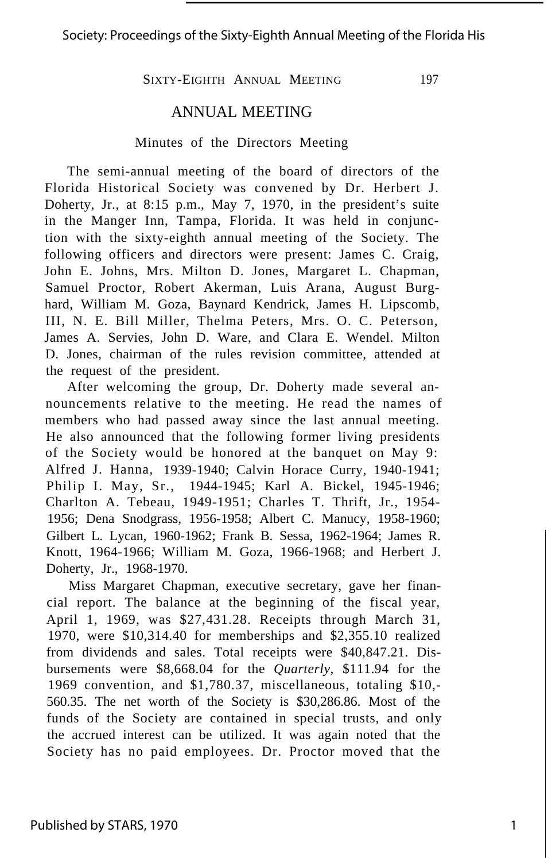#### Society: Proceedings of the Sixty-Eighth Annual Meeting of the Florida His

SIXTY-EIGHTH ANNUAL MEETING 197

#### ANNUAL MEETING

#### Minutes of the Directors Meeting

The semi-annual meeting of the board of directors of the Florida Historical Society was convened by Dr. Herbert J. Doherty, Jr., at 8:15 p.m., May 7, 1970, in the president's suite in the Manger Inn, Tampa, Florida. It was held in conjunction with the sixty-eighth annual meeting of the Society. The following officers and directors were present: James C. Craig, John E. Johns, Mrs. Milton D. Jones, Margaret L. Chapman, Samuel Proctor, Robert Akerman, Luis Arana, August Burghard, William M. Goza, Baynard Kendrick, James H. Lipscomb, III, N. E. Bill Miller, Thelma Peters, Mrs. O. C. Peterson, James A. Servies, John D. Ware, and Clara E. Wendel. Milton D. Jones, chairman of the rules revision committee, attended at the request of the president.

After welcoming the group, Dr. Doherty made several announcements relative to the meeting. He read the names of members who had passed away since the last annual meeting. He also announced that the following former living presidents of the Society would be honored at the banquet on May 9: Alfred J. Hanna, 1939-1940; Calvin Horace Curry, 1940-1941; Philip I. May, Sr., 1944-1945; Karl A. Bickel, 1945-1946; Charlton A. Tebeau, 1949-1951; Charles T. Thrift, Jr., 1954- 1956; Dena Snodgrass, 1956-1958; Albert C. Manucy, 1958-1960; Gilbert L. Lycan, 1960-1962; Frank B. Sessa, 1962-1964; James R. Knott, 1964-1966; William M. Goza, 1966-1968; and Herbert J. Doherty, Jr., 1968-1970.

Miss Margaret Chapman, executive secretary, gave her financial report. The balance at the beginning of the fiscal year, April 1, 1969, was \$27,431.28. Receipts through March 31, 1970, were \$10,314.40 for memberships and \$2,355.10 realized from dividends and sales. Total receipts were \$40,847.21. Disbursements were \$8,668.04 for the *Quarterly,* \$111.94 for the 1969 convention, and \$1,780.37, miscellaneous, totaling \$10,- 560.35. The net worth of the Society is \$30,286.86. Most of the funds of the Society are contained in special trusts, and only the accrued interest can be utilized. It was again noted that the Society has no paid employees. Dr. Proctor moved that the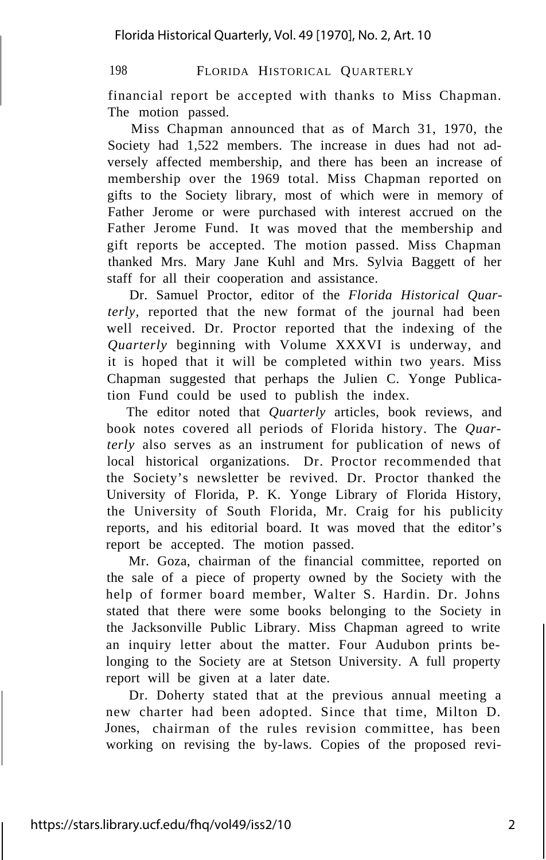financial report be accepted with thanks to Miss Chapman. The motion passed.

Miss Chapman announced that as of March 31, 1970, the Society had 1,522 members. The increase in dues had not adversely affected membership, and there has been an increase of membership over the 1969 total. Miss Chapman reported on gifts to the Society library, most of which were in memory of Father Jerome or were purchased with interest accrued on the Father Jerome Fund. It was moved that the membership and gift reports be accepted. The motion passed. Miss Chapman thanked Mrs. Mary Jane Kuhl and Mrs. Sylvia Baggett of her staff for all their cooperation and assistance.

Dr. Samuel Proctor, editor of the *Florida Historical Quarterly,* reported that the new format of the journal had been well received. Dr. Proctor reported that the indexing of the *Quarterly* beginning with Volume XXXVI is underway, and it is hoped that it will be completed within two years. Miss Chapman suggested that perhaps the Julien C. Yonge Publication Fund could be used to publish the index.

The editor noted that *Quarterly* articles, book reviews, and book notes covered all periods of Florida history. The *Quarterly* also serves as an instrument for publication of news of local historical organizations. Dr. Proctor recommended that the Society's newsletter be revived. Dr. Proctor thanked the University of Florida, P. K. Yonge Library of Florida History, the University of South Florida, Mr. Craig for his publicity reports, and his editorial board. It was moved that the editor's report be accepted. The motion passed.

Mr. Goza, chairman of the financial committee, reported on the sale of a piece of property owned by the Society with the help of former board member, Walter S. Hardin. Dr. Johns stated that there were some books belonging to the Society in the Jacksonville Public Library. Miss Chapman agreed to write an inquiry letter about the matter. Four Audubon prints belonging to the Society are at Stetson University. A full property report will be given at a later date.

Dr. Doherty stated that at the previous annual meeting a new charter had been adopted. Since that time, Milton D. Jones, chairman of the rules revision committee, has been working on revising the by-laws. Copies of the proposed revi-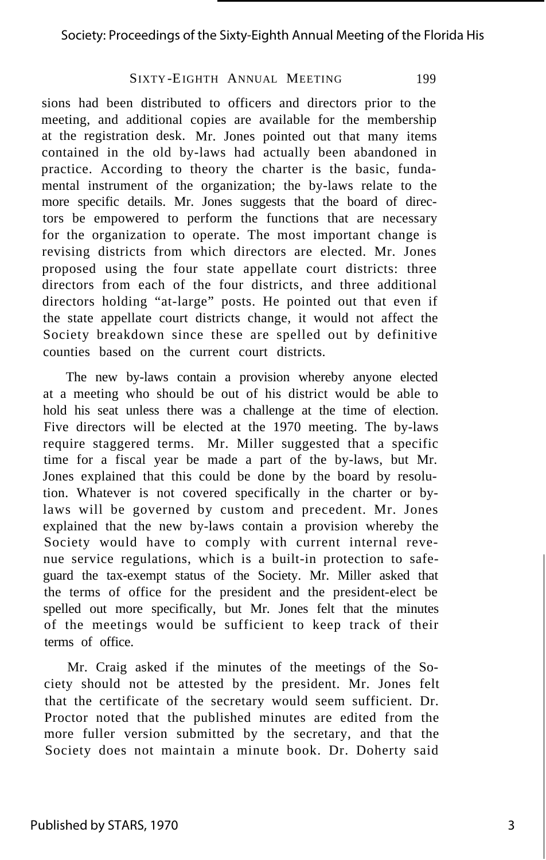sions had been distributed to officers and directors prior to the meeting, and additional copies are available for the membership at the registration desk. Mr. Jones pointed out that many items contained in the old by-laws had actually been abandoned in practice. According to theory the charter is the basic, fundamental instrument of the organization; the by-laws relate to the more specific details. Mr. Jones suggests that the board of directors be empowered to perform the functions that are necessary for the organization to operate. The most important change is revising districts from which directors are elected. Mr. Jones proposed using the four state appellate court districts: three directors from each of the four districts, and three additional directors holding "at-large" posts. He pointed out that even if the state appellate court districts change, it would not affect the Society breakdown since these are spelled out by definitive counties based on the current court districts.

The new by-laws contain a provision whereby anyone elected at a meeting who should be out of his district would be able to hold his seat unless there was a challenge at the time of election. Five directors will be elected at the 1970 meeting. The by-laws require staggered terms. Mr. Miller suggested that a specific time for a fiscal year be made a part of the by-laws, but Mr. Jones explained that this could be done by the board by resolution. Whatever is not covered specifically in the charter or bylaws will be governed by custom and precedent. Mr. Jones explained that the new by-laws contain a provision whereby the Society would have to comply with current internal revenue service regulations, which is a built-in protection to safeguard the tax-exempt status of the Society. Mr. Miller asked that the terms of office for the president and the president-elect be spelled out more specifically, but Mr. Jones felt that the minutes of the meetings would be sufficient to keep track of their terms of office.

Mr. Craig asked if the minutes of the meetings of the Society should not be attested by the president. Mr. Jones felt that the certificate of the secretary would seem sufficient. Dr. Proctor noted that the published minutes are edited from the more fuller version submitted by the secretary, and that the Society does not maintain a minute book. Dr. Doherty said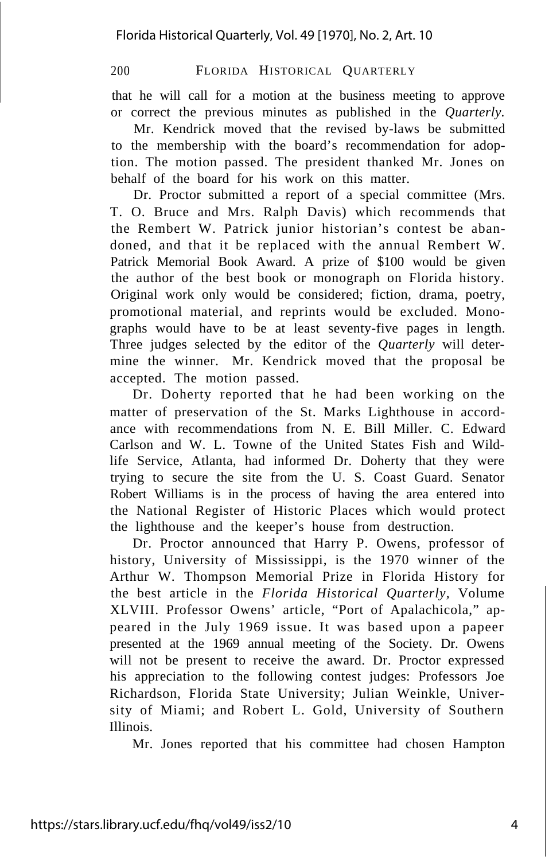that he will call for a motion at the business meeting to approve or correct the previous minutes as published in the *Quarterly.*

Mr. Kendrick moved that the revised by-laws be submitted to the membership with the board's recommendation for adoption. The motion passed. The president thanked Mr. Jones on behalf of the board for his work on this matter.

Dr. Proctor submitted a report of a special committee (Mrs. T. O. Bruce and Mrs. Ralph Davis) which recommends that the Rembert W. Patrick junior historian's contest be abandoned, and that it be replaced with the annual Rembert W. Patrick Memorial Book Award. A prize of \$100 would be given the author of the best book or monograph on Florida history. Original work only would be considered; fiction, drama, poetry, promotional material, and reprints would be excluded. Monographs would have to be at least seventy-five pages in length. Three judges selected by the editor of the *Quarterly* will determine the winner. Mr. Kendrick moved that the proposal be accepted. The motion passed.

Dr. Doherty reported that he had been working on the matter of preservation of the St. Marks Lighthouse in accordance with recommendations from N. E. Bill Miller. C. Edward Carlson and W. L. Towne of the United States Fish and Wildlife Service, Atlanta, had informed Dr. Doherty that they were trying to secure the site from the U. S. Coast Guard. Senator Robert Williams is in the process of having the area entered into the National Register of Historic Places which would protect the lighthouse and the keeper's house from destruction.

Dr. Proctor announced that Harry P. Owens, professor of history, University of Mississippi, is the 1970 winner of the Arthur W. Thompson Memorial Prize in Florida History for the best article in the *Florida Historical Quarterly,* Volume XLVIII. Professor Owens' article, "Port of Apalachicola," appeared in the July 1969 issue. It was based upon a papeer presented at the 1969 annual meeting of the Society. Dr. Owens will not be present to receive the award. Dr. Proctor expressed his appreciation to the following contest judges: Professors Joe Richardson, Florida State University; Julian Weinkle, University of Miami; and Robert L. Gold, University of Southern Illinois.

Mr. Jones reported that his committee had chosen Hampton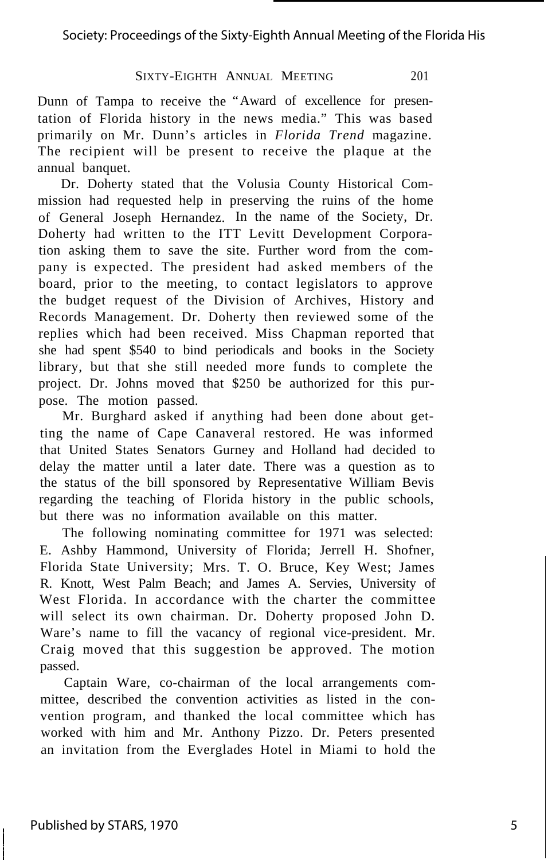Dunn of Tampa to receive the "Award of excellence for presentation of Florida history in the news media." This was based primarily on Mr. Dunn's articles in *Florida Trend* magazine. The recipient will be present to receive the plaque at the annual banquet.

Dr. Doherty stated that the Volusia County Historical Commission had requested help in preserving the ruins of the home of General Joseph Hernandez. In the name of the Society, Dr. Doherty had written to the ITT Levitt Development Corporation asking them to save the site. Further word from the company is expected. The president had asked members of the board, prior to the meeting, to contact legislators to approve the budget request of the Division of Archives, History and Records Management. Dr. Doherty then reviewed some of the replies which had been received. Miss Chapman reported that she had spent \$540 to bind periodicals and books in the Society library, but that she still needed more funds to complete the project. Dr. Johns moved that \$250 be authorized for this purpose. The motion passed.

Mr. Burghard asked if anything had been done about getting the name of Cape Canaveral restored. He was informed that United States Senators Gurney and Holland had decided to delay the matter until a later date. There was a question as to the status of the bill sponsored by Representative William Bevis regarding the teaching of Florida history in the public schools, but there was no information available on this matter.

The following nominating committee for 1971 was selected: E. Ashby Hammond, University of Florida; Jerrell H. Shofner, Florida State University; Mrs. T. O. Bruce, Key West; James R. Knott, West Palm Beach; and James A. Servies, University of West Florida. In accordance with the charter the committee will select its own chairman. Dr. Doherty proposed John D. Ware's name to fill the vacancy of regional vice-president. Mr. Craig moved that this suggestion be approved. The motion passed.

Captain Ware, co-chairman of the local arrangements committee, described the convention activities as listed in the convention program, and thanked the local committee which has worked with him and Mr. Anthony Pizzo. Dr. Peters presented an invitation from the Everglades Hotel in Miami to hold the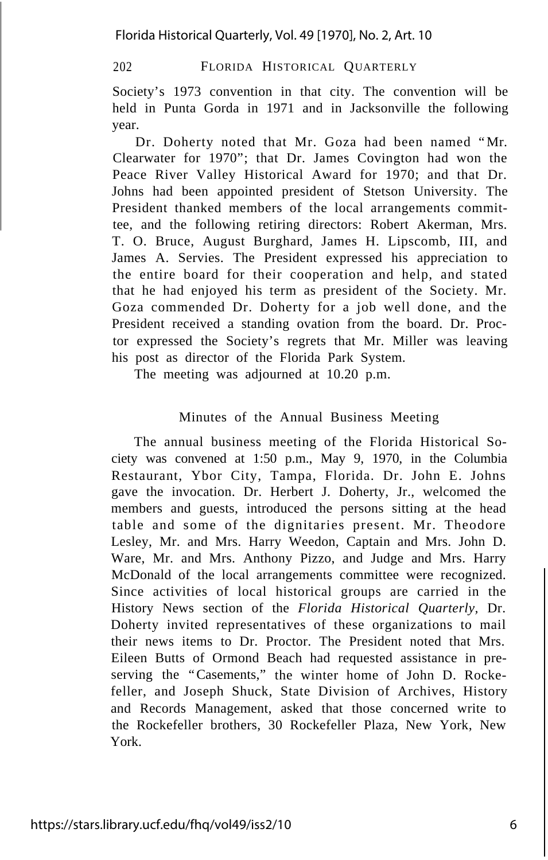Society's 1973 convention in that city. The convention will be held in Punta Gorda in 1971 and in Jacksonville the following year.

Dr. Doherty noted that Mr. Goza had been named "Mr. Clearwater for 1970"; that Dr. James Covington had won the Peace River Valley Historical Award for 1970; and that Dr. Johns had been appointed president of Stetson University. The President thanked members of the local arrangements committee, and the following retiring directors: Robert Akerman, Mrs. T. O. Bruce, August Burghard, James H. Lipscomb, III, and James A. Servies. The President expressed his appreciation to the entire board for their cooperation and help, and stated that he had enjoyed his term as president of the Society. Mr. Goza commended Dr. Doherty for a job well done, and the President received a standing ovation from the board. Dr. Proctor expressed the Society's regrets that Mr. Miller was leaving his post as director of the Florida Park System.

The meeting was adjourned at 10.20 p.m.

#### Minutes of the Annual Business Meeting

The annual business meeting of the Florida Historical Society was convened at 1:50 p.m., May 9, 1970, in the Columbia Restaurant, Ybor City, Tampa, Florida. Dr. John E. Johns gave the invocation. Dr. Herbert J. Doherty, Jr., welcomed the members and guests, introduced the persons sitting at the head table and some of the dignitaries present. Mr. Theodore Lesley, Mr. and Mrs. Harry Weedon, Captain and Mrs. John D. Ware, Mr. and Mrs. Anthony Pizzo, and Judge and Mrs. Harry McDonald of the local arrangements committee were recognized. Since activities of local historical groups are carried in the History News section of the *Florida Historical Quarterly,* Dr. Doherty invited representatives of these organizations to mail their news items to Dr. Proctor. The President noted that Mrs. Eileen Butts of Ormond Beach had requested assistance in preserving the "Casements," the winter home of John D. Rockefeller, and Joseph Shuck, State Division of Archives, History and Records Management, asked that those concerned write to the Rockefeller brothers, 30 Rockefeller Plaza, New York, New York.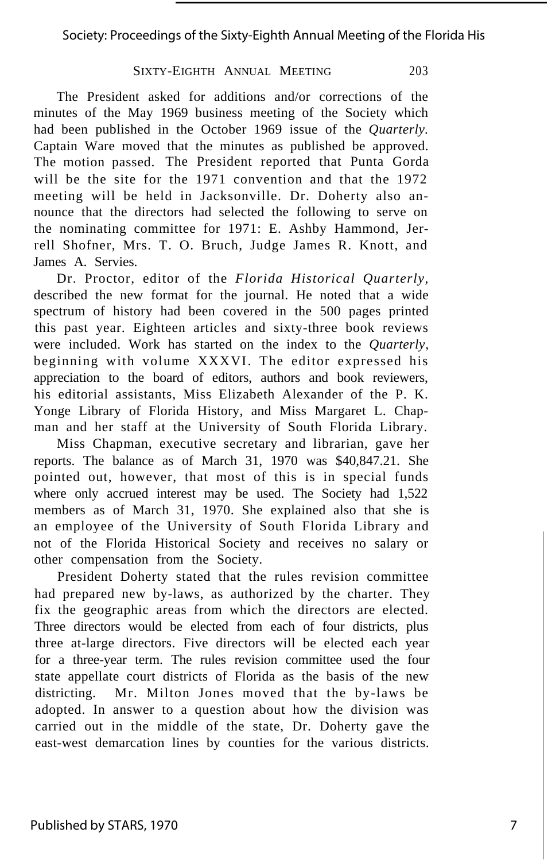Society: Proceedings of the Sixty-Eighth Annual Meeting of the Florida His

#### SIXTY-EIGHTH ANNUAL MEETING 203

The President asked for additions and/or corrections of the minutes of the May 1969 business meeting of the Society which had been published in the October 1969 issue of the *Quarterly.* Captain Ware moved that the minutes as published be approved. The motion passed. The President reported that Punta Gorda will be the site for the 1971 convention and that the 1972 meeting will be held in Jacksonville. Dr. Doherty also announce that the directors had selected the following to serve on the nominating committee for 1971: E. Ashby Hammond, Jerrell Shofner, Mrs. T. O. Bruch, Judge James R. Knott, and James A. Servies.

Dr. Proctor, editor of the *Florida Historical Quarterly,* described the new format for the journal. He noted that a wide spectrum of history had been covered in the 500 pages printed this past year. Eighteen articles and sixty-three book reviews were included. Work has started on the index to the *Quarterly,* beginning with volume XXXVI. The editor expressed his appreciation to the board of editors, authors and book reviewers, his editorial assistants, Miss Elizabeth Alexander of the P. K. Yonge Library of Florida History, and Miss Margaret L. Chapman and her staff at the University of South Florida Library.

Miss Chapman, executive secretary and librarian, gave her reports. The balance as of March 31, 1970 was \$40,847.21. She pointed out, however, that most of this is in special funds where only accrued interest may be used. The Society had  $1,522$ members as of March 31, 1970. She explained also that she is an employee of the University of South Florida Library and not of the Florida Historical Society and receives no salary or other compensation from the Society.

President Doherty stated that the rules revision committee had prepared new by-laws, as authorized by the charter. They fix the geographic areas from which the directors are elected. Three directors would be elected from each of four districts, plus three at-large directors. Five directors will be elected each year for a three-year term. The rules revision committee used the four state appellate court districts of Florida as the basis of the new districting. Mr. Milton Jones moved that the by-laws be adopted. In answer to a question about how the division was carried out in the middle of the state, Dr. Doherty gave the east-west demarcation lines by counties for the various districts.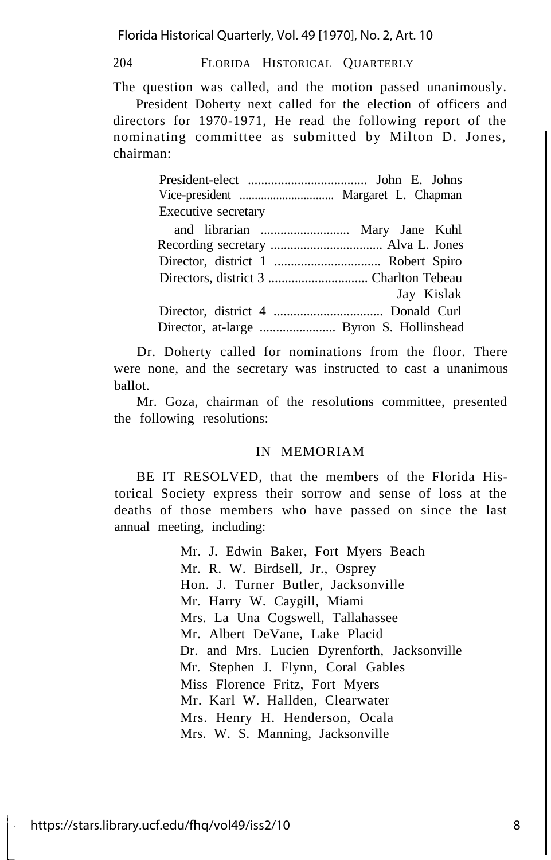Florida Historical Quarterly, Vol. 49 [1970], No. 2, Art. 10

204 FLORIDA HISTORICAL QUARTERLY

The question was called, and the motion passed unanimously.

President Doherty next called for the election of officers and directors for 1970-1971, He read the following report of the nominating committee as submitted by Milton D. Jones, chairman:

| Executive secretary                      |            |
|------------------------------------------|------------|
|                                          |            |
|                                          |            |
|                                          |            |
|                                          |            |
|                                          | Jay Kislak |
|                                          |            |
| Director, at-large  Byron S. Hollinshead |            |

Dr. Doherty called for nominations from the floor. There were none, and the secretary was instructed to cast a unanimous ballot.

Mr. Goza, chairman of the resolutions committee, presented the following resolutions:

#### IN MEMORIAM

BE IT RESOLVED, that the members of the Florida Historical Society express their sorrow and sense of loss at the deaths of those members who have passed on since the last annual meeting, including:

> Mr. J. Edwin Baker, Fort Myers Beach Mr. R. W. Birdsell, Jr., Osprey Hon. J. Turner Butler, Jacksonville Mr. Harry W. Caygill, Miami Mrs. La Una Cogswell, Tallahassee Mr. Albert DeVane, Lake Placid Dr. and Mrs. Lucien Dyrenforth, Jacksonville Mr. Stephen J. Flynn, Coral Gables Miss Florence Fritz, Fort Myers Mr. Karl W. Hallden, Clearwater Mrs. Henry H. Henderson, Ocala Mrs. W. S. Manning, Jacksonville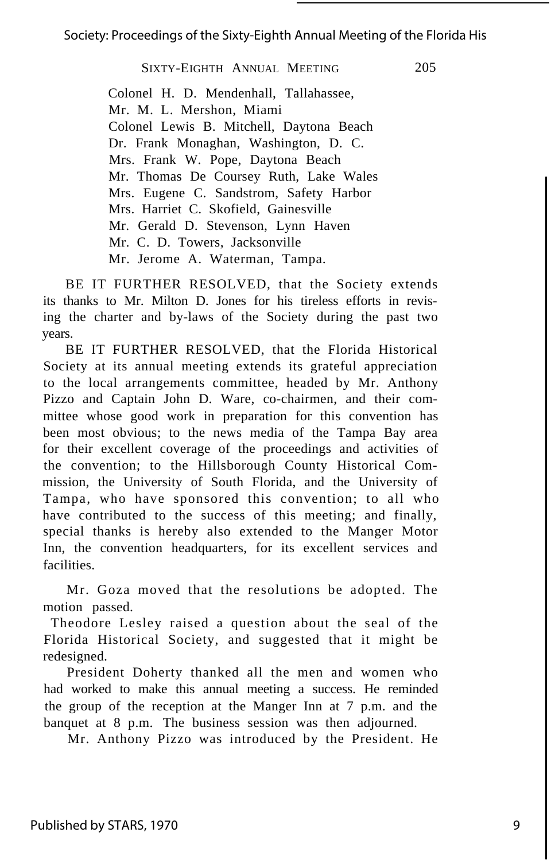#### Society: Proceedings of the Sixty-Eighth Annual Meeting of the Florida His

#### SIXTY-EIGHTH ANNUAL MEETING 205

Colonel H. D. Mendenhall, Tallahassee, Mr. M. L. Mershon, Miami Colonel Lewis B. Mitchell, Daytona Beach Dr. Frank Monaghan, Washington, D. C. Mrs. Frank W. Pope, Daytona Beach Mr. Thomas De Coursey Ruth, Lake Wales Mrs. Eugene C. Sandstrom, Safety Harbor Mrs. Harriet C. Skofield, Gainesville Mr. Gerald D. Stevenson, Lynn Haven Mr. C. D. Towers, Jacksonville Mr. Jerome A. Waterman, Tampa.

BE IT FURTHER RESOLVED, that the Society extends its thanks to Mr. Milton D. Jones for his tireless efforts in revising the charter and by-laws of the Society during the past two years.

BE IT FURTHER RESOLVED, that the Florida Historical Society at its annual meeting extends its grateful appreciation to the local arrangements committee, headed by Mr. Anthony Pizzo and Captain John D. Ware, co-chairmen, and their committee whose good work in preparation for this convention has been most obvious; to the news media of the Tampa Bay area for their excellent coverage of the proceedings and activities of the convention; to the Hillsborough County Historical Commission, the University of South Florida, and the University of Tampa, who have sponsored this convention; to all who have contributed to the success of this meeting; and finally, special thanks is hereby also extended to the Manger Motor Inn, the convention headquarters, for its excellent services and facilities.

Mr. Goza moved that the resolutions be adopted. The motion passed.

Theodore Lesley raised a question about the seal of the Florida Historical Society, and suggested that it might be redesigned.

President Doherty thanked all the men and women who had worked to make this annual meeting a success. He reminded the group of the reception at the Manger Inn at 7 p.m. and the banquet at 8 p.m. The business session was then adjourned.

Mr. Anthony Pizzo was introduced by the President. He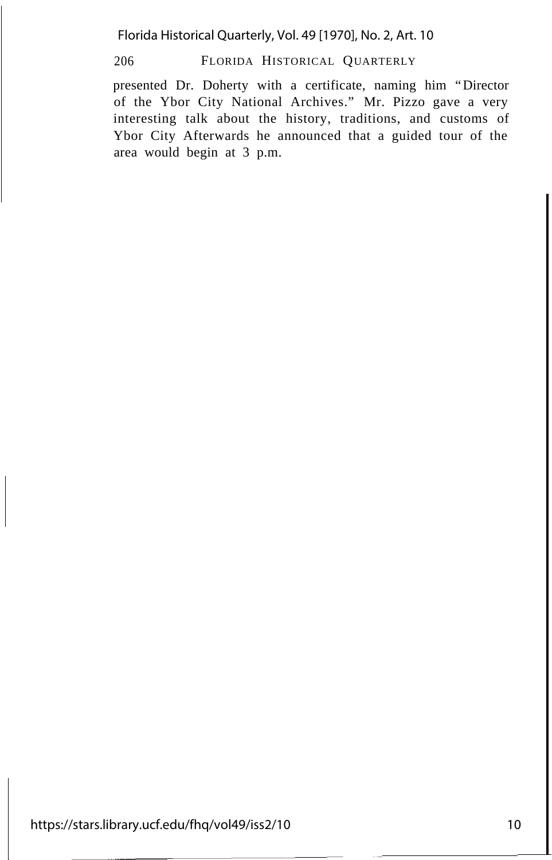Florida Historical Quarterly, Vol. 49 [1970], No. 2, Art. 10

206 FLORIDA HISTORICAL QUARTERLY

presented Dr. Doherty with a certificate, naming him "Director of the Ybor City National Archives." Mr. Pizzo gave a very interesting talk about the history, traditions, and customs of Ybor City Afterwards he announced that a guided tour of the area would begin at 3 p.m.

https://stars.library.ucf.edu/fhq/vol49/iss2/10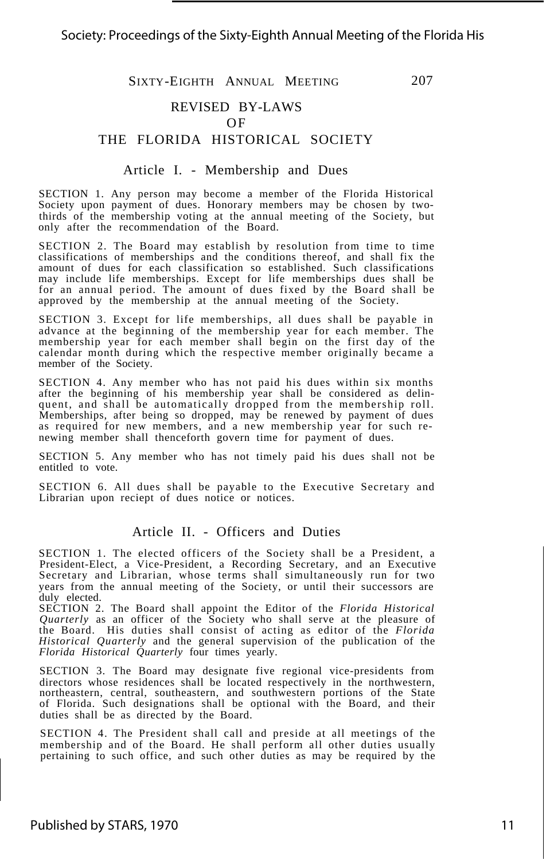#### REVISED BY-LAWS

#### OF

#### THE FLORIDA HISTORICAL SOCIETY

#### Article I. - Membership and Dues

SECTION 1. Any person may become a member of the Florida Historical Society upon payment of dues. Honorary members may be chosen by twothirds of the membership voting at the annual meeting of the Society, but only after the recommendation of the Board.

SECTION 2. The Board may establish by resolution from time to time classifications of memberships and the conditions thereof, and shall fix the amount of dues for each classification so established. Such classifications may include life memberships. Except for life memberships dues shall be for an annual period. The amount of dues fixed by the Board shall be approved by the membership at the annual meeting of the Society.

SECTION 3. Except for life memberships, all dues shall be payable in advance at the beginning of the membership year for each member. The membership year for each member shall begin on the first day of the calendar month during which the respective member originally became a member of the Society.

SECTION 4. Any member who has not paid his dues within six months after the beginning of his membership year shall be considered as delinquent, and shall be automatically dropped from the membership roll. Memberships, after being so dropped,  $\overrightarrow{may}$  be renewed by payment of dues as required for new members, and a new membership year for such renewing member shall thenceforth govern time for payment of dues.

SECTION 5. Any member who has not timely paid his dues shall not be entitled to vote.

SECTION 6. All dues shall be payable to the Executive Secretary and Librarian upon reciept of dues notice or notices.

#### Article II. - Officers and Duties

SECTION 1. The elected officers of the Society shall be a President, a President-Elect, a Vice-President, a Recording Secretary, and an Executive Secretary and Librarian, whose terms shall simultaneously run for two years from the annual meeting of the Society, or until their successors are duly elected.

SECTION 2. The Board shall appoint the Editor of the *Florida Historical Quarterly* as an officer of the Society who shall serve at the pleasure of the Board. His duties shall consist of acting as editor of the *Florida Historical Quarterly* and the general supervision of the publication of the *Florida Historical Quarterly* four times yearly.

SECTION 3. The Board may designate five regional vice-presidents from directors whose residences shall be located respectively in the northwestern, northeastern, central, southeastern, and southwestern portions of the State of Florida. Such designations shall be optional with the Board, and their duties shall be as directed by the Board.

SECTION 4. The President shall call and preside at all meetings of the membership and of the Board. He shall perform all other duties usually pertaining to such office, and such other duties as may be required by the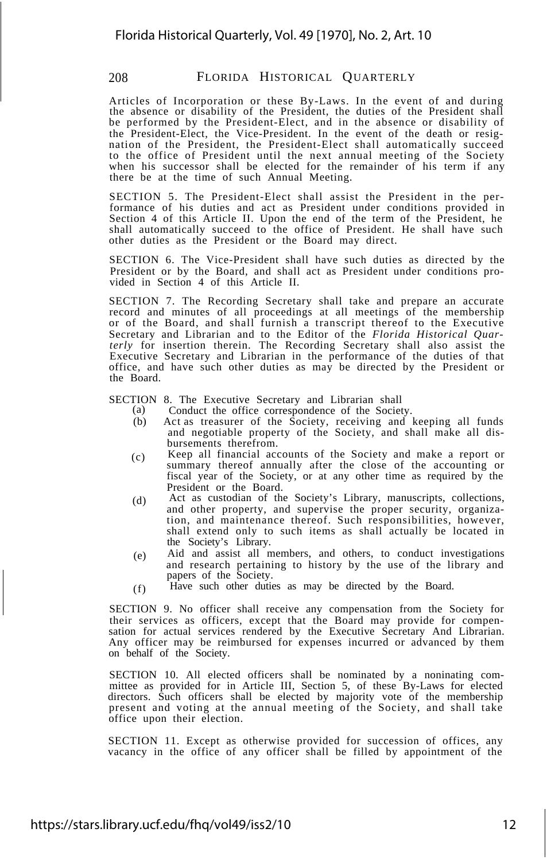Articles of Incorporation or these By-Laws. In the event of and during the absence or disability of the President, the duties of the President shall be performed by the President-Elect, and in the absence or disability of the President-Elect, the Vice-President. In the event of the death or resignation of the President, the President-Elect shall automatically succeed to the office of President until the next annual meeting of the Society when his successor shall be elected for the remainder of his term if any there be at the time of such Annual Meeting.

SECTION 5. The President-Elect shall assist the President in the performance of his duties and act as President under conditions provided in Section 4 of this Article II. Upon the end of the term of the President, he shall automatically succeed to the office of President. He shall have such other duties as the President or the Board may direct.

SECTION 6. The Vice-President shall have such duties as directed by the President or by the Board, and shall act as President under conditions provided in Section 4 of this Article II.

SECTION 7. The Recording Secretary shall take and prepare an accurate record and minutes of all proceedings at all meetings of the membership or of the Board, and shall furnish a transcript thereof to the Executive Secretary and Librarian and to the Editor of the *Florida Historical Quar-terly* for insertion therein. The Recording Secretary shall also assist the Executive Secretary and Librarian in the performance of the duties of that office, and have such other duties as may be directed by the President or the Board.

SECTION 8. The Executive Secretary and Librarian shall<br>(a) Conduct the office correspondence of the Societ

- (a) Conduct the office correspondence of the Society.<br>(b) Act as treasurer of the Society, receiving and
- Act as treasurer of the Society, receiving and keeping all funds and negotiable property of the Society, and shall make all disbursements therefrom.
- (c) Keep all financial accounts of the Society and make a report or summary thereof annually after the close of the accounting or fiscal year of the Society, or at any other time as required by the President or the Board.
- (d) Act as custodian of the Society's Library, manuscripts, collections, and other property, and supervise the proper security, organization, and maintenance thereof. Such responsibilities, however, shall extend only to such items as shall actually be located in the Society's Library.
- (e) Aid and assist all members, and others, to conduct investigations and research pertaining to history by the use of the library and papers of the Society.
- (f) Have such other duties as may be directed by the Board.

SECTION 9. No officer shall receive any compensation from the Society for their services as officers, except that the Board may provide for compensation for actual services rendered by the Executive Secretary And Librarian. Any officer may be reimbursed for expenses incurred or advanced by them on behalf of the Society.

SECTION 10. All elected officers shall be nominated by a noninating committee as provided for in Article III, Section 5, of these By-Laws for elected directors. Such officers shall be elected by majority vote of the membership present and voting at the annual meeting of the Society, and shall take office upon their election.

SECTION 11. Except as otherwise provided for succession of offices, any vacancy in the office of any officer shall be filled by appointment of the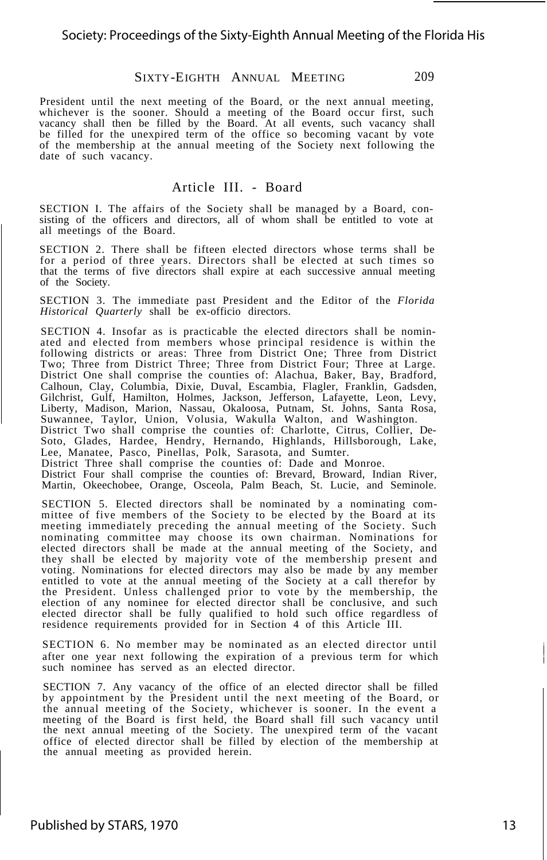President until the next meeting of the Board, or the next annual meeting, whichever is the sooner. Should a meeting of the Board occur first, such vacancy shall then be filled by the Board. At all events, such vacancy shall be filled for the unexpired term of the office so becoming vacant by vote of the membership at the annual meeting of the Society next following the date of such vacancy.

#### Article III. - Board

SECTION I. The affairs of the Society shall be managed by a Board, consisting of the officers and directors, all of whom shall be entitled to vote at all meetings of the Board.

SECTION 2. There shall be fifteen elected directors whose terms shall be for a period of three years. Directors shall be elected at such times so that the terms of five directors shall expire at each successive annual meeting of the Society.

SECTION 3. The immediate past President and the Editor of the *Florida Historical Quarterly* shall be ex-officio directors.

SECTION 4. Insofar as is practicable the elected directors shall be nominated and elected from members whose principal residence is within the following districts or areas: Three from District One; Three from District Two; Three from District Three; Three from District Four; Three at Large. District One shall comprise the counties of: Alachua, Baker, Bay, Bradford, Calhoun, Clay, Columbia, Dixie, Duval, Escambia, Flagler, Franklin, Gadsden,<br>Gilchrist, Gulf, Hamilton, Holmes, Jackson, Jefferson, Lafayette, Leon, Levy,<br>Liberty, Madison, Marion, Nassau, Okaloosa, Putnam, St. Johns, Sant Suwannee, Taylor, Union, Volusia, Wakulla Walton, and Washington. District Two shall comprise the counties of: Charlotte, Citrus, Collier, De-<br>Soto, Glades, Hardee, Hendry, Hernando, Highlands, Hillsborough, Lake,<br>Lee, Manatee, Pasco, Pinellas, Polk, Sarasota, and Sumter.<br>District Three

District Four shall comprise the counties of: Brevard, Broward, Indian River, Martin, Okeechobee, Orange, Osceola, Palm Beach, St. Lucie, and Seminole.

SECTION 5. Elected directors shall be nominated by a nominating com-mittee of five members of the Society to be elected by the Board at its meeting immediately preceding the annual meeting of the Society. Such nominating committee may choose its own chairman. Nominations for elected directors shall be made at the annual meeting of the Society, and they shall be elected by majority vote of the membership present and voting. Nominations for elected directors may also be made by any member entitled to vote at the annual meeting of the Society at a call therefor by the President. Unless challenged prior to vote by the membership, the<br>election of any nominee for elected director shall be conclusive, and such<br>elected director shall be fully qualified to hold such office regardless of<br>r

SECTION 6. No member may be nominated as an elected director until after one year next following the expiration of a previous term for which such nominee has served as an elected director.

SECTION 7. Any vacancy of the office of an elected director shall be filled by appointment by the President until the next meeting of the Board, or the annual meeting of the Society, whichever is sooner. In the event a meeting of the Board is first held, the Board shall fill such vacancy until the next annual meeting of the Society. The unexpired term of the vacant office of elected director shall be filled by election of the membership at the annual meeting as provided herein.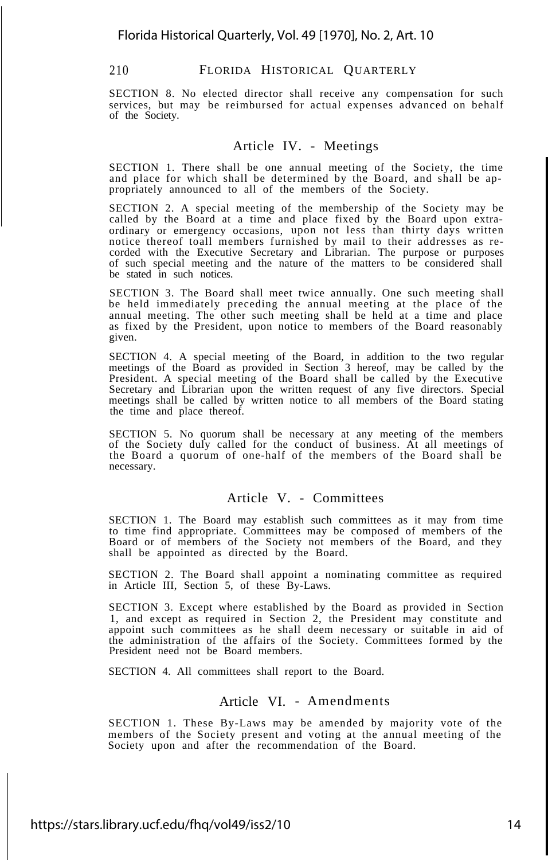SECTION 8. No elected director shall receive any compensation for such services, but may be reimbursed for actual expenses advanced on behalf of the Society.

#### Article IV. - Meetings

SECTION 1. There shall be one annual meeting of the Society, the time and place for which shall be determined by the Board, and shall be appropriately announced to all of the members of the Society.

SECTION 2. A special meeting of the membership of the Society may be called by the Board at a time and place fixed by the Board upon extraordinary or emergency occasions, upon not less than thirty days written notice thereof toall members furnished by mail to their addresses as recorded with the Executive Secretary and Librarian. The purpose or purposes of such special meeting and the nature of the matters to be considered shall be stated in such notices.

SECTION 3. The Board shall meet twice annually. One such meeting shall be held immediately preceding the annual meeting at the place of the annual meeting. The other such meeting shall be held at a time and place as fixed by the President, upon notice to members of the Board reasonably given.

SECTION 4. A special meeting of the Board, in addition to the two regular meetings of the Board as provided in Section 3 hereof, may be called by the President. A special meeting of the Board shall be called by the Executive Secretary and Librarian upon the written request of any five directors. Special meetings shall be called by written notice to all members of the Board stating the time and place thereof.

SECTION 5. No quorum shall be necessary at any meeting of the members of the Society duly called for the conduct of business. At all meetings of the Board a quorum of one-half of the members of the Board shall be necessary.

#### Article V. - Committees

SECTION 1. The Board may establish such committees as it may from time to time find appropriate. Committees may be composed of members of the Board or of members of the Society not members of the Board, and they shall be appointed as directed by the Board.

SECTION 2. The Board shall appoint a nominating committee as required in Article III, Section 5, of these By-Laws.

SECTION 3. Except where established by the Board as provided in Section 1, and except as required in Section 2, the President may constitute and appoint such committees as he shall deem necessary or suitable in aid of the administration of the affairs of the Society. Committees formed by the President need not be Board members.

SECTION 4. All committees shall report to the Board.

#### Article VI. - Amendments

SECTION 1. These By-Laws may be amended by majority vote of the members of the Society present and voting at the annual meeting of the Society upon and after the recommendation of the Board.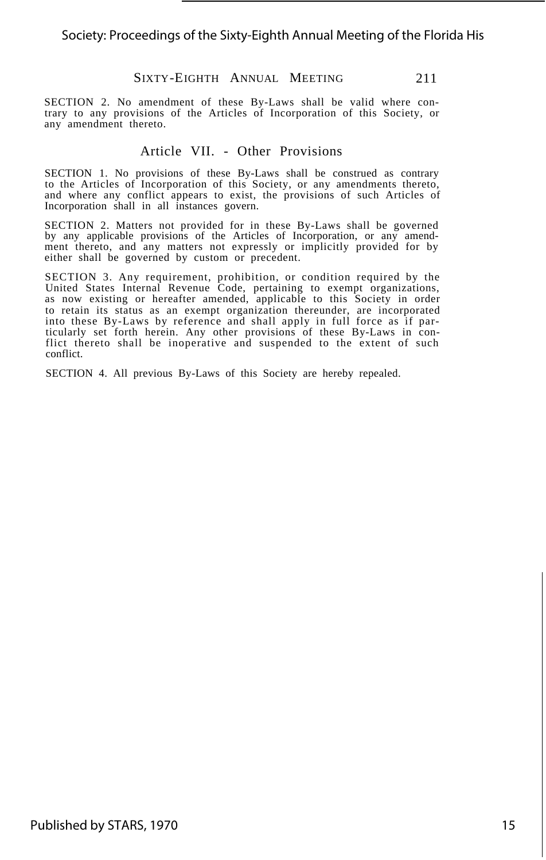SECTION 2. No amendment of these By-Laws shall be valid where contrary to any provisions of the Articles of Incorporation of this Society, or any amendment thereto.

#### Article VII. - Other Provisions

SECTION 1. No provisions of these By-Laws shall be construed as contrary to the Articles of Incorporation of this Society, or any amendments thereto, and where any conflict appears to exist, the provisions of such Articles of Incorporation shall in all instances govern.

SECTION 2. Matters not provided for in these By-Laws shall be governed by any applicable provisions of the Articles of Incorporation, or any amend-ment thereto, and any matters not expressly or implicitly provided for by either shall be governed by custom or precedent.

SECTION 3. Any requirement, prohibition, or condition required by the United States Internal Revenue Code, pertaining to exempt organizations, as now existing or hereafter amended, applicable to this Society in order to retain its status as an exempt organization thereunder, are incorporated into these By-Laws by reference and shall apply in full force as if particularly set forth herein. Any other provisions of these By-Laws in con-flict thereto shall be inoperative and suspended to the extent of such conflict.

SECTION 4. All previous By-Laws of this Society are hereby repealed.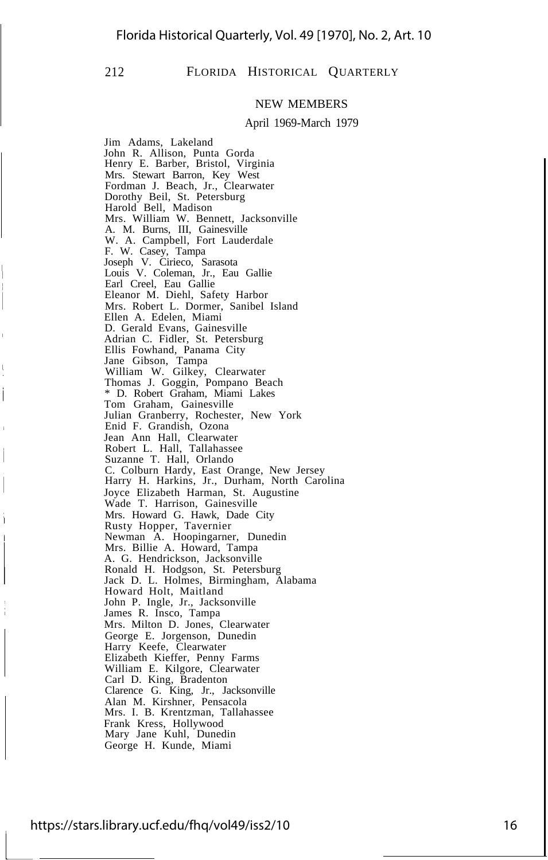$\overline{1}$ 

#### 212 FLORIDA HISTORICAL QUARTERLY

#### NEW MEMBERS

#### April 1969-March 1979

Jim Adams, Lakeland John R. Allison, Punta Gorda Henry E. Barber, Bristol, Virginia Mrs. Stewart Barron, Key West Fordman J. Beach, Jr., Clearwater Dorothy Beil, St. Petersburg Harold Bell, Madison Mrs. William W. Bennett, Jacksonville A. M. Burns, III, Gainesville W. A. Campbell, Fort Lauderdale F. W. Casey, Tampa Joseph V. Cirieco, Sarasota Louis V. Coleman, Jr., Eau Gallie Earl Creel, Eau Gallie Eleanor M. Diehl, Safety Harbor Mrs. Robert L. Dormer, Sanibel Island Ellen A. Edelen, Miami D. Gerald Evans, Gainesville Adrian C. Fidler, St. Petersburg Ellis Fowhand, Panama City Jane Gibson, Tampa William W. Gilkey, Clearwater Thomas J. Goggin, Pompano Beach \* D. Robert Graham, Miami Lakes Tom Graham, Gainesville Julian Granberry, Rochester, New York Enid F. Grandish, Ozona Jean Ann Hall, Clearwater Robert L. Hall, Tallahassee Suzanne T. Hall, Orlando C. Colburn Hardy, East Orange, New Jersey Harry H. Harkins, Jr., Durham, North Carolina Joyce Elizabeth Harman, St. Augustine Wade T. Harrison, Gainesville Mrs. Howard G. Hawk, Dade City Rusty Hopper, Tavernier Newman A. Hoopingarner, Dunedin Mrs. Billie A. Howard, Tampa A. G. Hendrickson, Jacksonville Ronald H. Hodgson, St. Petersburg Jack D. L. Holmes, Birmingham, Alabama Howard Holt, Maitland John P. Ingle, Jr., Jacksonville James R. Insco, Tampa Mrs. Milton D. Jones, Clearwater George E. Jorgenson, Dunedin Harry Keefe, Clearwater Elizabeth Kieffer, Penny Farms William E. Kilgore, Clearwater Carl D. King, Bradenton Clarence G. King, Jr., Jacksonville Alan M. Kirshner, Pensacola Mrs. I. B. Krentzman, Tallahassee Frank Kress, Hollywood Mary Jane Kuhl, Dunedin George H. Kunde, Miami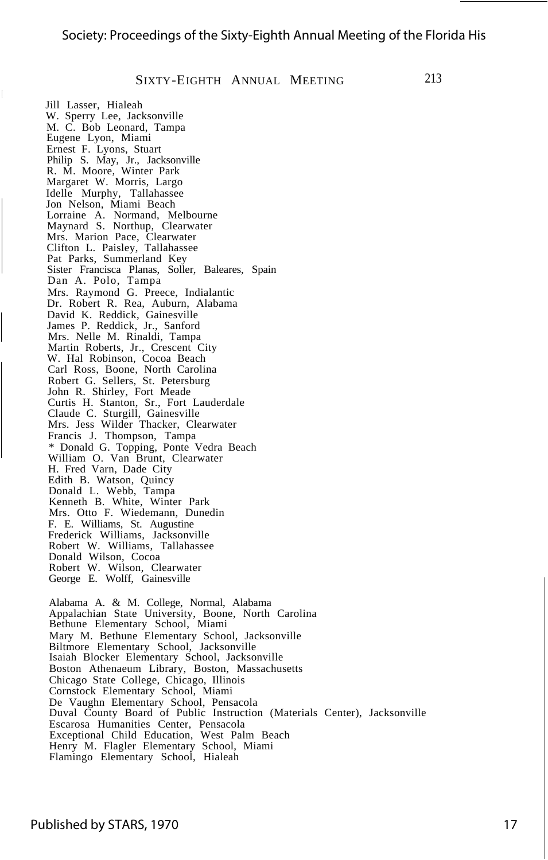Jill Lasser, Hialeah

W. Sperry Lee, Jacksonville M. C. Bob Leonard, Tampa Eugene Lyon, Miami Ernest F. Lyons, Stuart Philip S. May, Jr., Jacksonville R. M. Moore, Winter Park Margaret W. Morris, Largo Idelle Murphy, Tallahassee Jon Nelson, Miami Beach Lorraine A. Normand, Melbourne Maynard S. Northup, Clearwater Mrs. Marion Pace, Clearwater Clifton L. Paisley, Tallahassee Pat Parks, Summerland Key Sister Francisca Planas, Soller, Baleares, Spain Dan A. Polo, Tampa Mrs. Raymond G. Preece, Indialantic Dr. Robert R. Rea, Auburn, Alabama David K. Reddick, Gainesville James P. Reddick, Jr., Sanford Mrs. Nelle M. Rinaldi, Tampa Martin Roberts, Jr., Crescent City W. Hal Robinson, Cocoa Beach Carl Ross, Boone, North Carolina Robert G. Sellers, St. Petersburg John R. Shirley, Fort Meade Curtis H. Stanton, Sr., Fort Lauderdale Claude C. Sturgill, Gainesville Mrs. Jess Wilder Thacker, Clearwater Francis J. Thompson, Tampa \* Donald G. Topping, Ponte Vedra Beach William O. Van Brunt, Clearwater H. Fred Varn, Dade City Edith B. Watson, Quincy Donald L. Webb, Tampa Kenneth B. White, Winter Park Mrs. Otto F. Wiedemann, Dunedin F. E. Williams, St. Augustine Frederick Williams, Jacksonville Robert W. Williams, Tallahassee Donald Wilson, Cocoa Robert W. Wilson, Clearwater George E. Wolff, Gainesville Alabama A. & M. College, Normal, Alabama Appalachian State University, Boone, North Carolina Bethune Elementary School, Miami Mary M. Bethune Elementary School, Jacksonville Biltmore Elementary School, Jacksonville Isaiah Blocker Elementary School, Jacksonville Boston Athenaeum Library, Boston, Massachusetts Chicago State College, Chicago, Illinois Cornstock Elementary School, Miami De Vaughn Elementary School, Pensacola Duval County Board of Public Instruction (Materials Center), Jacksonville Escarosa Humanities Center, Pensacola Exceptional Child Education, West Palm Beach

Henry M. Flagler Elementary School, Miami Flamingo Elementary School, Hialeah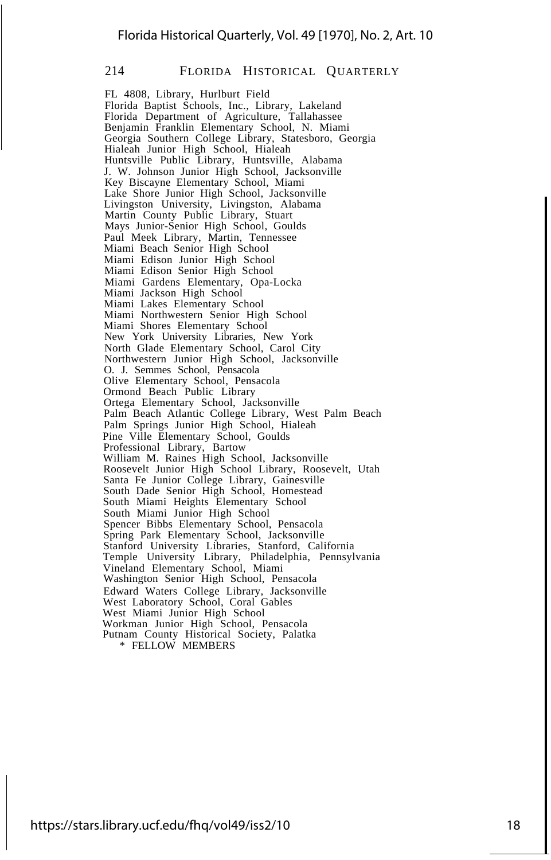FL 4808, Library, Hurlburt Field Florida Baptist Schools, Inc., Library, Lakeland Florida Department of Agriculture, Tallahassee Benjamin Franklin Elementary School, N. Miami Georgia Southern College Library, Statesboro, Georgia Hialeah Junior High School, Hialeah Huntsville Public Library, Huntsville, Alabama J. W. Johnson Junior High School, Jacksonville Key Biscayne Elementary School, Miami Lake Shore Junior High School, Jacksonville Livingston University, Livingston, Alabama Martin County Public Library, Stuart Mays Junior-Senior High School, Goulds Paul Meek Library, Martin, Tennessee Miami Beach Senior High School Miami Edison Junior High School Miami Edison Senior High School Miami Gardens Elementary, Opa-Locka Miami Jackson High School Miami Lakes Elementary School Miami Northwestern Senior High School Miami Shores Elementary School New York University Libraries, New York North Glade Elementary School, Carol City Northwestern Junior High School, Jacksonville O. J. Semmes School, Pensacola Olive Elementary School, Pensacola Ormond Beach Public Library Ortega Elementary School, Jacksonville Palm Beach Atlantic College Library, West Palm Beach Palm Springs Junior High School, Hialeah Pine Ville Elementary School, Goulds Professional Library, Bartow William M. Raines High School, Jacksonville Roosevelt Junior High School Library, Roosevelt, Utah Santa Fe Junior College Library, Gainesville South Dade Senior High School, Homestead South Miami Heights Elementary School South Miami Junior High School Spencer Bibbs Elementary School, Pensacola Spring Park Elementary School, Jacksonville Stanford University Libraries, Stanford, California Temple University Library, Philadelphia, Pennsylvania Vineland Elementary School, Miami Washington Senior High School, Pensacola Edward Waters College Library, Jacksonville West Laboratory School, Coral Gables West Miami Junior High School Workman Junior High School, Pensacola Putnam County Historical Society, Palatka \* FELLOW MEMBERS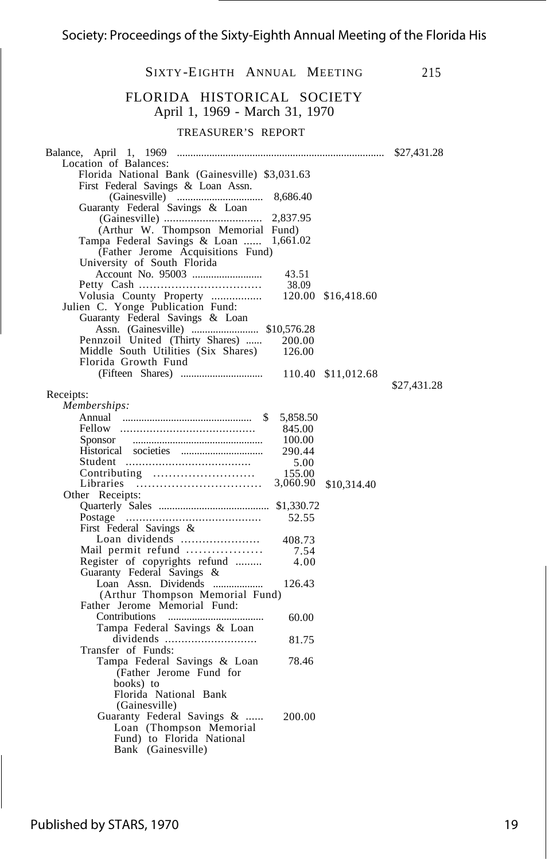#### SIXTY -EIGHTH ANNUAL MEETING 215 FLORIDA HISTORICAL SOCIETY April 1, 1969 - March 31, 1970 TREASURER'S REPORT Balance, April 1, 1969 ............................................................................. \$27,431.28 Location of Balances: Florida National Bank (Gainesville) \$3,031.63 First Federal Savings & Loan Assn. (Gainesville) ................................ 8,686.40 Guaranty Federal Savings & Loan (Gainesville) ................................. 2,837.95 (Arthur W. Thompson Memorial Fund) Tampa Federal Savings & Loan ...... 1,661.02 (Father Jerome Acquisitions Fund) University of South Florida Account No. 95003 .......................... 43.51 Petty Cash .................................. 38.09 Volusia County Property ................. 120.00 \$16,418.60 Julien C. Yonge Publication Fund: Guaranty Federal Savings & Loan Assn. (Gainesville) ......................... \$10,576.28 Pennzoil United (Thirty Shares) ...... 200.00<br>Middle South Utilities (Six Shares) 126.00 Middle South Utilities (Six Shares) Florida Growth Fund (Fifteen Shares) ............................... 110.40 \$11,012.68 Receipts: \$27,431.28 *Memberships:* Annual ................................................ \$ 5,858.50 Fellow ......................................... 845.00 Sponsor ................................................. 100.00 Historical societies ............................... 290.44 Student ...................................... 5.00 Contributing .......................... 155.00 Libraries ................................ 3,060.90 \$10,314.40 Other Receipts: Quarterly Sales ......................................... \$1,330.72 Postage ......................................... 52.55 First Federal Savings & Loan dividends ...................... 408.73 Mail permit refund ................. . 7.54 Register of copyrights refund ......... 4.00 Guaranty Federal Savings & Loan Assn. Dividends ................... 126.43 (Arthur Thompson Memorial Fund) Father Jerome Memorial Fund: Contributions .................................... 60.00 Tampa Federal Savings & Loan dividends ............................ 81.75 Transfer of Funds: Tampa Federal Savings & Loan 78.46 (Father Jerome Fund for books) to Florida National Bank (Gainesville) Guaranty Federal Savings & ...... 200.00 Loan (Thompson Memorial Fund) to Florida National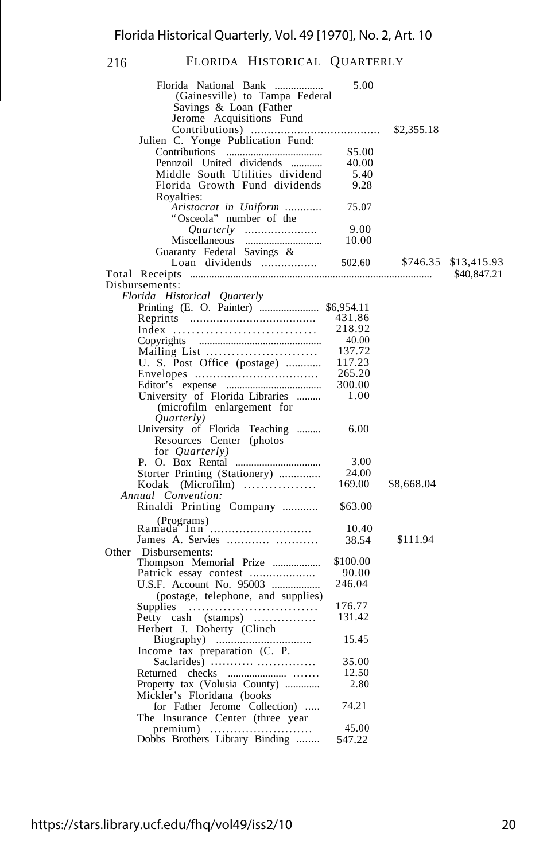| Florida National Bank<br>(Gainesville) to Tampa Federal       | 5.00     |            |             |
|---------------------------------------------------------------|----------|------------|-------------|
| Savings & Loan (Father                                        |          |            |             |
| Jerome Acquisitions Fund                                      |          |            |             |
|                                                               |          | \$2,355.18 |             |
| Julien C. Yonge Publication Fund:                             |          |            |             |
|                                                               | \$5.00   |            |             |
| Pennzoil United dividends                                     | 40.00    |            |             |
| Middle South Utilities dividend                               | 5.40     |            |             |
| Florida Growth Fund dividends                                 | 9.28     |            |             |
| Royalties:                                                    |          |            |             |
| Aristocrat in Uniform                                         | 75.07    |            |             |
| "Osceola" number of the                                       |          |            |             |
|                                                               | 9.00     |            |             |
| Miscellaneous                                                 | 10.00    |            |             |
| Guaranty Federal Savings &                                    |          |            |             |
|                                                               |          | \$746.35   | \$13,415.93 |
|                                                               |          |            | \$40,847.21 |
| Disbursements:                                                |          |            |             |
| Florida Historical Quarterly                                  |          |            |             |
| Printing (E. O. Painter)  \$6,954.11                          |          |            |             |
|                                                               | 431.86   |            |             |
| Index                                                         | 218.92   |            |             |
|                                                               | 40.00    |            |             |
| Mailing List                                                  | 137.72   |            |             |
| U. S. Post Office (postage)                                   | 117.23   |            |             |
|                                                               | 265.20   |            |             |
|                                                               | 300.00   |            |             |
| University of Florida Libraries                               | 1.00     |            |             |
| (microfilm enlargement for                                    |          |            |             |
| Quarterly)                                                    |          |            |             |
| University of Florida Teaching                                | 6.00     |            |             |
| Resources Center (photos)                                     |          |            |             |
| for <i>Quarterly</i> )                                        |          |            |             |
|                                                               | 3.00     |            |             |
| Storter Printing (Stationery)                                 | 24.00    |            |             |
| Kodak (Microfilm)                                             | 169.00   | \$8,668.04 |             |
| Annual Convention:                                            |          |            |             |
| Rinaldi Printing Company                                      | \$63.00  |            |             |
| (Programs)                                                    |          |            |             |
| Ramada Inn                                                    | 10.40    |            |             |
|                                                               | 38.54    | \$111.94   |             |
| Disbursements:<br>Other                                       |          |            |             |
| Thompson Memorial Prize                                       | \$100.00 |            |             |
| Patrick essay contest                                         | 90.00    |            |             |
| U.S.F. Account No. 95003                                      | 246.04   |            |             |
| (postage, telephone, and supplies)                            |          |            |             |
| Supplies $\dots\dots\dots\dots\dots\dots\dots\dots\dots\dots$ | 176.77   |            |             |
| Petty cash (stamps)                                           | 131.42   |            |             |
| Herbert J. Doherty (Clinch                                    |          |            |             |
|                                                               | 15.45    |            |             |
| Income tax preparation (C. P.                                 |          |            |             |
| Saclarides)                                                   | 35.00    |            |             |
|                                                               | 12.50    |            |             |
| Property tax (Volusia County)                                 | 2.80     |            |             |
| Mickler's Floridana (books                                    |          |            |             |
| for Father Jerome Collection)                                 | 74.21    |            |             |
| The Insurance Center (three year                              |          |            |             |
|                                                               | 45.00    |            |             |
| Dobbs Brothers Library Binding                                | 547.22   |            |             |